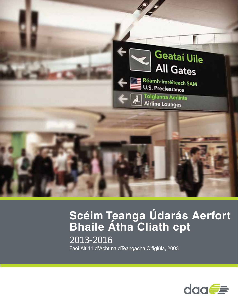

# Scéim Teanga Údarás Aerfort

2013-2016 Faoi Alt 11 d'Acht na dTeangacha Oifigiúla, 2003

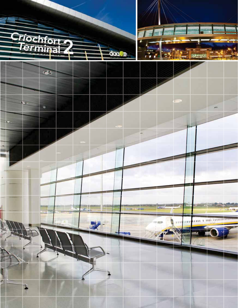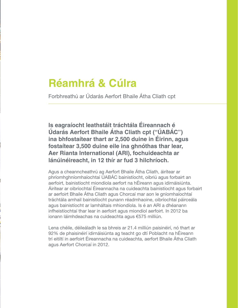## Réamhrá & Cúlra

Forbhreathú ar Údarás Aerfort Bhaile Átha Cliath cpt

Is eagraíocht leathstáit tráchtála Éireannach é Údarás Aerfort Bhaile Átha Cliath cpt ("ÚABÁC") ina bhfostaítear thart ar 2,500 duine in Éirinn, agus fostaítear 3,500 duine eile ina ghnóthas thar lear, Aer Rianta International (ARI), fochuideachta ar lánúinéireacht, in 12 thír ar fud 3 hilchríoch.

Agus a cheanncheathrú ag Aerfort Bhaile Átha Cliath, áirítear ar phríomhghníomhaíochtaí ÚABÁC bainistíocht, oibriú agus forbairt an aerfoirt, bainistíocht miondíola aerfort na hÉireann agus idirnáisiúnta. Áirítear ar oibríochtaí Éireannacha na cuideachta bainistíocht agus forbairt ar aerfoirt Bhaile Átha Cliath agus Chorcaí mar aon le gníomhaíochtaí tráchtála amhail bainistíocht punann réadmhaoine, oibríochtaí páirceála agus bainistíocht ar lamháltais mhiondíola. Is é an ARI a dhéanann infheistíochtaí thar lear in aerfoirt agus miondíol aerfoirt. In 2012 ba ionann láimhdeachas na cuideachta agus €575 milliún.

Lena chéile, déileáladh le sa bhreis ar 21.4 milliún paisinéirí, nó thart ar 92% de phaisinéirí idirnáisiúnta ag teacht go dtí Poblacht na hÉireann trí eitiltí in aerfoirt Éireannacha na cuideachta, aerfort Bhaile Átha Cliath agus Aerfort Chorcaí in 2012.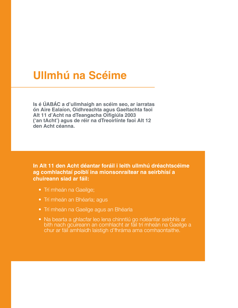### **Ullmhú na Scéime**

**Is é ÚABÁC a d'ullmhaigh an scéim seo, ar iarratas ón Aire Ealaíon, Oidhreachta agus Gaeltachta faoi Alt 11 d'Acht na dTeangacha Oifigiúla 2003 ('an tAcht') agus de réir na dTreoirlínte faoi Alt 12 den Acht céanna.**

**In Alt 11 den Acht déantar foráil i leith ullmhú dréachtscéime ag comhlachtaí poiblí ina mionsonraítear na seirbhísí a chuireann siad ar fáil:**

- Trí mheán na Gaeilge;
- Trí mheán an Bhéarla; agus
- Trí mheán na Gaeilge agus an Bhéarla
- Na bearta a ghlacfar leo lena chinntiú go ndéanfar seirbhís ar bith nach gcuireann an comhlacht ar fáil trí mheán na Gaeilge a chur ar fáil amhlaidh laistigh d'fhráma ama comhaontaithe.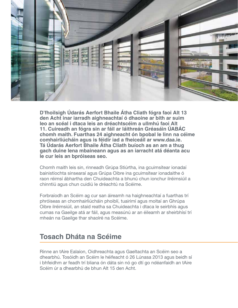

**D'fhoilsigh Údarás Aerfort Bhaile Átha Cliath fógra faoi Alt 13 den Acht inar iarradh aighneachtaí ó dhaoine ar bith ar suim leo an scéal i dtaca leis an dréachtscéim a ullmhú faoi Alt 11. Cuireadh an fógra sin ar fáil ar láithreán Gréasáin ÚABÁC chomh maith. Fuarthas 24 aighneacht ón bpobal le linn na céime comhairliúcháin agus is féidir iad a fheiceáil ar www.daa.ie. Tá Údarás Aerfort Bhaile Átha Cliath buíoch as an am a thug gach duine lena mbaineann agus as an iarracht atá déanta acu le cur leis an bpróiseas seo.**

Chomh maith leis sin, rinneadh Grúpa Stiúrtha, ina gcuimsítear ionadaí bainistíochta sinsearaí agus Grúpa Oibre ina gcuimsítear ionadaithe ó raon réimsí ábhartha den Chuideachta a bhunú chun ionchur ilréimsiúil a chinntiú agus chun cuidiú le dréachtú na Scéime.

Forbraíodh an Scéim ag cur san áireamh na haighneachtaí a fuarthas trí phróiseas an chomhairliúcháin phoiblí, tuairimí agus moltaí an Ghrúpa Oibre ilréimsiúil, an staid reatha sa Chuideachta i dtaca le seirbhís agus cumas na Gaeilge atá ar fáil, agus measúnú ar an éileamh ar sheirbhísí trí mheán na Gaeilge thar shaolré na Scéime.

#### **Tosach Dháta na Scéime**

Rinne an tAire Ealaíon, Oidhreachta agus Gaeltachta an Scéim seo a dhearbhú. Tosóidh an Scéim le héifeacht ó 26 Lúnasa 2013 agus beidh sí i bhfeidhm ar feadh trí bliana ón dáta sin nó go dtí go ndéanfaidh an tAire Scéim úr a dhearbhú de bhun Alt 15 den Acht.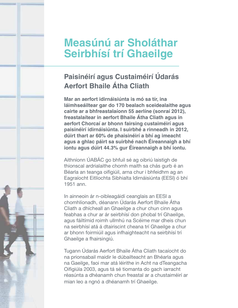## **Measúnú ar Sholáthar Seirbhísí trí Ghaeilge**

#### **Paisinéirí agus Custaiméirí Údarás Aerfort Bhaile Átha Cliath**

**Mar an aerfort idirnáisiúnta is mó sa tír, ina láimhseáiltear gar do 170 bealach sceidealaithe agus cairte ar a bhfreastalaíonn 55 aerlíne (sonraí 2012), freastalaítear in aerfort Bhaile Átha Cliath agus in aerfort Chorcaí ar bhonn fairsing custaiméirí agus paisinéirí idirnáisiúnta. I suirbhé a rinneadh in 2012, dúirt thart ar 60% de phaisinéirí a bhí ag imeacht agus a ghlac páirt sa suirbhé nach Éireannaigh a bhí iontu agus dúirt 44.3% gur Éireannaigh a bhí iontu.** 

Aithníonn ÚABÁC go bhfuil sé ag oibriú laistigh de thionscal ardrialaithe chomh maith sa chás gurb é an Béarla an teanga oifigiúil, arna chur i bhfeidhm ag an Eagraíocht Eitlíochta Sibhialta Idirnáisiúnta (EESI) ó bhí  $1951$  ann.

In ainneoin ár n-oibleagáidí ceanglais an EESI a chomhlíonadh, déanann Údarás Aerfort Bhaile Átha Cliath a dhícheall an Ghaeilge a chur chun cinn agus feabhas a chur ar ár seirbhísí don phobal trí Ghaeilge, agus fáiltímid roimh ullmhú na Scéime mar dheis chun na seirbhísí atá á dtairiscint cheana trí Ghaeilge a chur ar bhonn foirmiúil agus infhaighteacht na seirbhísí trí Ghaeilge a fhairsingiú.

Tugann Údarás Aerfort Bhaile Átha Cliath tacaíocht do na prionsabail maidir le dúbailteacht an Bhéarla agus na Gaeilge, faoi mar atá léirithe in Acht na dTeangacha Oifigiúla 2003, agus tá sé tiomanta do gach iarracht réasúnta a dhéanamh chun freastal ar a chustaiméirí ar mian leo a ngnó a dhéanamh trí Ghaeilge.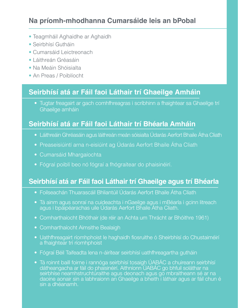#### **Na príomh-mhodhanna Cumarsáide leis an bPobal**

- Teagmháil Aghaidhe ar Aghaidh
- Seirbhísí Gutháin
- Cumarsáid Leictreonach
- Láithreán Gréasáin
- Na Meáin Shóisialta
- An Preas / Poiblíocht

#### **Seirbhísí atá ar Fáil faoi Láthair trí Ghaeilge Amháin**

• Tugtar freagairt ar gach comhfhreagras i scríbhinn a fhaightear sa Ghaeilge trí Ghaeilge amháin

#### **Seirbhísí atá ar Fáil faoi Láthair trí Bhéarla Amháin**

- Láithreáin Ghréasáin agus láithreán meán sóisialta Údarás Aerfort Bhaile Átha Cliath
- Preaseisiúintí arna n-eisiúint ag Údarás Aerfort Bhaile Átha Cliath
- Cumarsáid Mhargaíochta
- Fógraí poiblí beo nó fógraí a fhógraítear do phaisinéirí.

#### **Seirbhísí atá ar Fáil faoi Láthair trí Ghaeilge agus trí Bhéarla**

- Foilseachán Thuarascáil Bhliantúil Údarás Aerfort Bhaile Átha Cliath
- Tá ainm agus sonraí na cuideachta i nGaeilge agus i mBéarla i gcinn litreach agus i bpáipéarachas uile Údarás Aerfort Bhaile Átha Cliath.
- Comharthaíocht Bhóthair (de réir an Achta um Thrácht ar Bhóithre 1961)
- Comharthaíocht Aimsithe Bealaigh
- Uathfhreagairt ríomhphoist le haghaidh fiosruithe ó Sheirbhísí do Chustaiméirí a fhaightear trí ríomhphoist
- Fógraí Béil Taifeadta lena n-áirítear seirbhísí uathfhreagartha gutháin
- Tá roinnt baill foirne i rannóga seirbhísí tosaigh ÚABÁC a chuireann seirbhísí dátheangacha ar fáil do phaisinéirí. Aithníonn ÚABÁC go bhfuil soláthar na seirbhíse neamhstruchtúraithe agus deonach agus go mbraitheann sé ar na daoine aonair sin a labhraíonn an Ghaeilge a bheith i láthair agus ar fáil chun é sin a dhéanamh.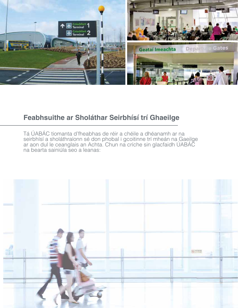

#### **Feabhsuithe ar Sholáthar Seirbhísí trí Ghaeilge**

Tá ÚABÁC tiomanta d'fheabhas de réir a chéile a dhéanamh ar na seirbhísí a sholáthraíonn sé don phobal i gcoitinne trí mheán na Gaeilge ar aon dul le ceanglais an Achta. Chun na críche sin glacfaidh ÚABÁC na bearta sainiúla seo a leanas:

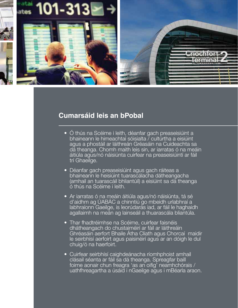

#### **Cumarsáid leis an bPobal**

- Ó thús na Scéime i leith, déanfar gach preaseisiúint a bhaineann le himeachtaí sóisialta / cultúrtha a eisiúint agus a phostáil ar láithreán Gréasáin na Cuideachta sa dá theanga. Chomh maith leis sin, ar iarratas ó na meáin áitiúla agus/nó náisiúnta cuirfear na preaseisiúintí ar fáil trí Ghaeilge.
- Déanfar gach preaseisiúint agus gach ráiteas a bhaineann le heisiúint tuarascálacha dátheangacha (amhail an tuarascáil bhliantúil) a eisiúint sa dá theanga ó thús na Scéime i leith.
- Ar iarratas ó na meáin áitiúla agus/nó náisiúnta, tá sé d'aidhm ag ÚABÁC a chinntiú go mbeidh urlabhraí a labhraíonn Gaeilge, is leorúdarás iad, ar fáil le haghaidh agallaimh na meán ag lainseáil a thuarascála bliantúla.
- Thar fhadtréimhse na Scéime, cuirfear faisnéis dhátheangach do chustaiméirí ar fáil ar láithreáin Ghréasáin aerfort Bhaile Átha Cliath agus Chorcaí maidir le seirbhísí aerfoirt agus paisinéirí agus ar an dóigh le dul chuig/ó na haerfoirt.
- Cuirfear seirbhísí caighdeánacha ríomhphoist amhail clásail séanta ar fáil sa dá theanga. Spreagfar baill foirne aonair chun freagra 'as an oifig' neamhchórais / uathfhreagartha a úsáid i nGaeilge agus i mBéarla araon.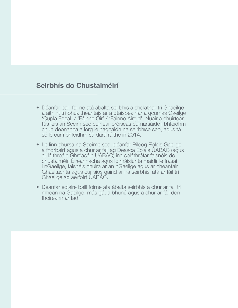#### **Seirbhís do Chustaiméirí**

- Déanfar baill foirne atá ábalta seirbhís a sholáthar trí Ghaeilge a aithint trí Shuaitheantais ar a dtaispeánfar a gcumas Gaeilge 'Cúpla Focal' / 'Fáinne Óir' / 'Fáinne Airgid'. Nuair a chuirfear tús leis an Scéim seo cuirfear próiseas cumarsáide i bhfeidhm chun deonacha a lorg le haghaidh na seirbhíse seo, agus tá sé le cur i bhfeidhm sa dara ráithe in 2014.
- Le linn chúrsa na Scéime seo, déanfar Bileog Eolais Gaeilge a fhorbairt agus a chur ar fáil ag Deasca Eolais ÚABÁC (agus ar láithreáin Ghréasáin UÁBÁC) ina soláthrófar faisnéis do chustaiméirí Éireannacha agus Idirnáisiúnta maidir le frásaí i nGaeilge, faisnéis chúlra ar an nGaeilge agus ar cheantair Ghaeltachta agus cur síos gairid ar na seirbhísí atá ar fáil trí Ghaeilge ag aerfoirt ÚABÁC.
- Déanfar eolaire baill foirne atá ábalta seirbhís a chur ar fáil trí mheán na Gaeilge, más gá, a bhunú agus a chur ar fáil don fhoireann ar fad.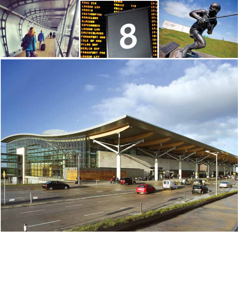

Low R I I U T HI **ILAN NXF** ERLIN

IJ, FRIAD<br>FRIAD<br>FRIAD m u 8



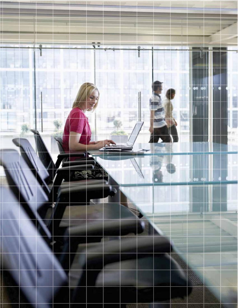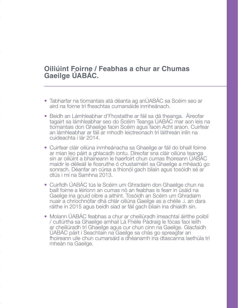#### **Oiliúint Foirne / Feabhas a chur ar Chumas Gaeilge ÚABÁC.**

- Tabharfar na tiomantais atá déanta ag anÚABÁC sa Scéim seo ar aird na foirne trí fheachtas cumarsáide inmheánach.
- Beidh an Lámhleabhar d'Fhostaithe ar fáil sa dá theanga. Áireofar tagairt sa lámhleabhar seo do Scéim Teanga ÚABÁC mar aon leis na tiomantais don Ghaeilge faoin Scéim agus faoin Acht araon. Cuirfear an lámhleabhar ar fáil ar mhodh leictreonach trí láithreán inlín na cuideachta i lár 2014.
- Cuirfear cláir oiliúna inmheánacha sa Ghaeilge ar fáil do bhaill foirne ar mian leo páirt a ghlacadh iontu. Díreofar sna cláir oiliúna teanga sin ar oiliúint a bhaineann le haerfoirt chun cumas fhoireann ÚABÁC maidir le déileáil le fiosruithe ó chustaiméirí sa Ghaeilge a mhéadú go sonrach. Déanfar an cúrsa a thionól gach bliain agus tosóidh sé ar dtús i mí na Samhna 2013.
- Cuirfidh ÚABÁC tús le Scéim um Ghradaim don Ghaeilge chun na baill foirne a léiríonn an cumas nó an feabhas is fearr in úsáid na Gaeilge ina gcuid oibre a aithint. Tosóidh an Scéim um Ghradaim nuair a chríochnófar dhá chlár oiliúna Gaeilge as a chéile .i. an dara ráithe in 2015 agus beidh siad ar fáil gach bliain ina dhiaidh sin.
- Molann ÚABÁC feabhas a chur ar cheiliúradh imeachtaí áirithe poiblí / cultúrtha sa Ghaeilge amhail Lá Fhéile Pádraig le fócas faoi leith ar cheiliúradh trí Ghaeilge agus cur chun cinn na Gaeilge. Glacfaidh ÚABÁC páirt i Seachtain na Gaeilge sa chás go spreagfar an fhoireann uile chun cumarsáid a dhéanamh ina dtascanna laethúla trí mheán na Gaeilge.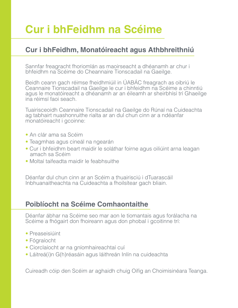## **Cur i bhFeidhm na Scéime**

#### **Cur i bhFeidhm, Monatóireacht agus Athbhreithniú**

Sannfar freagracht fhoriomlán as maoirseacht a dhéanamh ar chur i bhfeidhm na Scéime do Cheannaire Tionscadail na Gaeilge.

Beidh ceann gach réimse fheidhmiúil in ÚABÁC freagrach as oibriú le Ceannaire Tionscadail na Gaeilge le cur i bhfeidhm na Scéime a chinntiú agus le monatóireacht a dhéanamh ar an éileamh ar sheirbhísí trí Ghaeilge ina réimsí faoi seach.

Tuairisceoidh Ceannaire Tionscadail na Gaeilge do Rúnaí na Cuideachta ag tabhairt nuashonruithe rialta ar an dul chun cinn ar a ndéanfar monatóireacht i gcoinne:

- An clár ama sa Scéim
- Teagmhas agus cineál na ngearán
- Cur i bhfeidhm beart maidir le soláthar foirne agus oiliúint arna leagan amach sa Scéim
- Moltaí taifeadta maidir le feabhsuithe

Déanfar dul chun cinn ar an Scéim a thuairisciú i dTuarascáil Inbhuanaitheachta na Cuideachta a fhoilsítear gach bliain.

#### **Poiblíocht na Scéime Comhaontaithe**

Déanfar ábhar na Scéime seo mar aon le tiomantais agus forálacha na Scéime a fhógairt don fhoireann agus don phobal i gcoitinne trí:

- Preaseisiúint
- Fógraíocht
- Ciorclaíocht ar na gníomhaireachtaí cuí
- Láitreá(i)n G(h)réasáin agus láithreán Inlín na cuideachta

Cuireadh cóip den Scéim ar aghaidh chuig Oifig an Choimisinéara Teanga.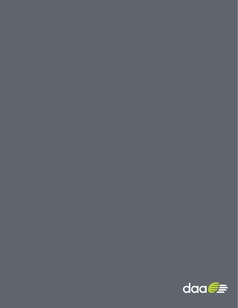